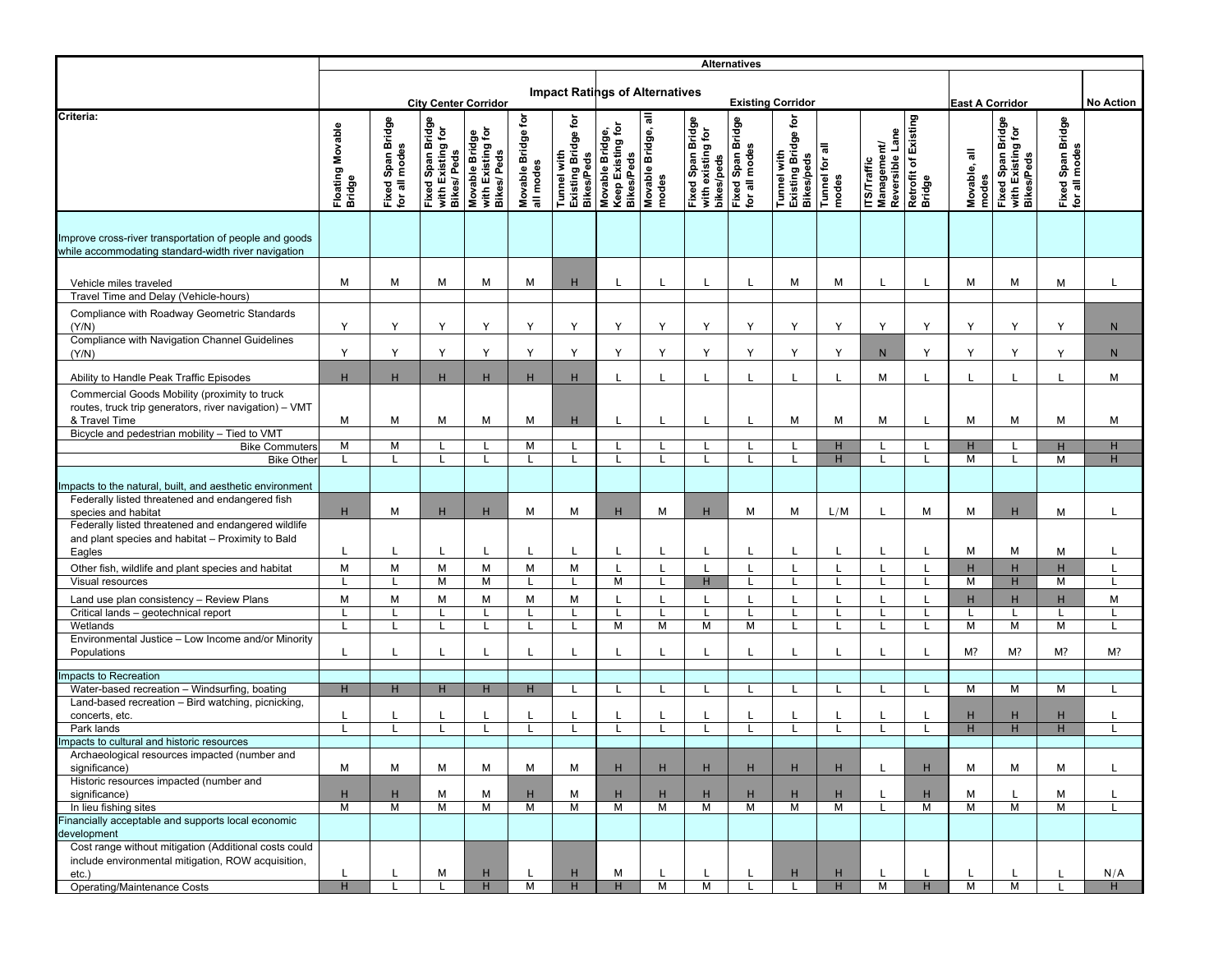|                                                                                                                                                    | <b>Alternatives</b>               |                                                                                                  |                                                       |                                                        |                                 |                                                      |                                                    |                                 |                                                             |                                                 |                                                             |                         |                                                    |                                |                       |                                                      |                                               |              |
|----------------------------------------------------------------------------------------------------------------------------------------------------|-----------------------------------|--------------------------------------------------------------------------------------------------|-------------------------------------------------------|--------------------------------------------------------|---------------------------------|------------------------------------------------------|----------------------------------------------------|---------------------------------|-------------------------------------------------------------|-------------------------------------------------|-------------------------------------------------------------|-------------------------|----------------------------------------------------|--------------------------------|-----------------------|------------------------------------------------------|-----------------------------------------------|--------------|
|                                                                                                                                                    |                                   | <b>Impact Ratings of Alternatives</b><br><b>City Center Corridor</b><br><b>Existing Corridor</b> |                                                       |                                                        |                                 |                                                      |                                                    |                                 |                                                             |                                                 |                                                             |                         |                                                    | <b>East A Corridor</b>         | <b>No Action</b>      |                                                      |                                               |              |
| Criteria:                                                                                                                                          | Floating Movable<br><b>Bridge</b> | <b>Bridge</b><br>modes<br>Span<br>Fixed<br>$\mathbf{5}$                                          | Fixed Span Bridge<br>with Existing for<br>Bikes/ Peds | ¢ة<br>Movable Bridge<br>with Existing f<br>Bikes/ Peds | Movable Bridge for<br>all modes | ʻ¤<br>Existing Bridge f<br>Bikes/Peds<br>Tunnel with | Movable Bridge,<br>Keep Existing for<br>Bikes/Peds | ಹ<br>Movable Bridge, a<br>modes | <b>Fixed Span Bridge</b><br>with existing for<br>bikes/peds | <b>Bridge</b><br>Span Br<br>I modes<br>Fixed \$ | ʻ₫<br>Tunnel with<br>Existing Bridge f<br><b>Bikes/peds</b> | Tunnel for all<br>modes | Lane<br>ITS/Traffic<br>Management/<br>Reversible I | Retrofit of Existing<br>Bridge | Movable, all<br>modes | Fixed Span Bridge<br>with Existing for<br>Bikes/Peds | l Span Bridge<br>I modes<br>Fixed:<br>for all |              |
| Improve cross-river transportation of people and goods<br>while accommodating standard-width river navigation                                      |                                   |                                                                                                  |                                                       |                                                        |                                 |                                                      |                                                    |                                 |                                                             |                                                 |                                                             |                         |                                                    |                                |                       |                                                      |                                               |              |
| Vehicle miles traveled<br>Travel Time and Delay (Vehicle-hours)                                                                                    | м                                 | М                                                                                                | M                                                     | М                                                      | М                               | H                                                    |                                                    |                                 |                                                             |                                                 | м                                                           | м                       |                                                    |                                | м                     | М                                                    | М                                             |              |
| Compliance with Roadway Geometric Standards<br>(Y/N)                                                                                               | Y                                 | Y                                                                                                | Y                                                     | Y                                                      | Y                               | Y                                                    | Y                                                  | Y                               | Y                                                           | Y                                               | Y                                                           | Y                       | Y                                                  | Y                              | Y                     | Y                                                    | Y                                             | $\mathsf{N}$ |
| Compliance with Navigation Channel Guidelines<br>(Y/N)                                                                                             | Y                                 | Y                                                                                                | Y                                                     | Y                                                      | Y                               | Y                                                    | Y                                                  | Y                               | Y                                                           | Υ                                               | Y                                                           | Y                       | N                                                  | Y                              | Y                     | Y                                                    | Y                                             | N            |
| Ability to Handle Peak Traffic Episodes<br>Commercial Goods Mobility (proximity to truck<br>routes, truck trip generators, river navigation) - VMT | H.                                | H                                                                                                | H                                                     | н                                                      | н                               | H                                                    |                                                    |                                 | L                                                           |                                                 |                                                             | Ι.                      | м                                                  | L                              |                       | L                                                    | $\mathbf{I}$                                  | м            |
| & Travel Time<br>Bicycle and pedestrian mobility - Tied to VMT<br><b>Bike Commuters</b>                                                            | М<br>М                            | М<br>М                                                                                           | М                                                     | M                                                      | М<br>М                          | H<br>L                                               |                                                    |                                 |                                                             |                                                 | М                                                           | м<br>H                  | М                                                  |                                | м<br>H                | м                                                    | М<br>H.                                       | М<br>H       |
| <b>Bike Other</b>                                                                                                                                  |                                   |                                                                                                  |                                                       |                                                        |                                 |                                                      |                                                    |                                 |                                                             |                                                 |                                                             | Н.                      |                                                    |                                | M                     |                                                      | M                                             | H            |
| mpacts to the natural, built, and aesthetic environment<br>Federally listed threatened and endangered fish<br>species and habitat                  | H.                                | М                                                                                                | н                                                     | H                                                      | М                               | м                                                    | н                                                  | М                               | н                                                           | м                                               | М                                                           | L/M                     |                                                    | М                              | М                     | H                                                    | М                                             | L            |
| Federally listed threatened and endangered wildlife<br>and plant species and habitat - Proximity to Bald<br>Eagles                                 |                                   | L                                                                                                |                                                       |                                                        |                                 | L                                                    |                                                    |                                 | L                                                           |                                                 |                                                             |                         |                                                    |                                | м                     | М                                                    | М                                             | L            |
| Other fish, wildlife and plant species and habitat<br>Visual resources                                                                             | М                                 | M<br>L                                                                                           | M<br>M                                                | М<br>M                                                 | М                               | M                                                    | М                                                  |                                 | T<br>H                                                      |                                                 |                                                             | -1                      |                                                    |                                | H<br>М                | H<br>H                                               | H.<br>М                                       | L            |
| Land use plan consistency - Review Plans<br>Critical lands - geotechnical report                                                                   | M                                 | M                                                                                                | М                                                     | M                                                      | М                               | М                                                    |                                                    |                                 |                                                             |                                                 |                                                             |                         |                                                    |                                | H                     | H                                                    | H<br>L                                        | M            |
| Wetlands<br>Environmental Justice - Low Income and/or Minority<br>Populations                                                                      |                                   | L                                                                                                | L                                                     | $\mathbf{I}$                                           |                                 | L<br>L                                               | M                                                  | М                               | M<br>L                                                      | М                                               | I.                                                          |                         | L                                                  | L                              | M<br>M <sup>2</sup>   | М<br>M?                                              | М<br>M <sup>2</sup>                           | т.<br>M?     |
| mpacts to Recreation                                                                                                                               |                                   |                                                                                                  |                                                       |                                                        |                                 |                                                      |                                                    |                                 |                                                             |                                                 |                                                             |                         |                                                    |                                |                       |                                                      |                                               |              |
| Water-based recreation - Windsurfing, boating<br>Land-based recreation - Bird watching, picnicking,<br>concerts, etc.                              | H                                 | н                                                                                                | н                                                     | н                                                      | H                               | L                                                    |                                                    |                                 | L                                                           |                                                 | L                                                           |                         |                                                    | L                              | м<br>H                | М<br>н                                               | М<br>н                                        |              |
| Park lands<br>Impacts to cultural and historic resources                                                                                           |                                   | L                                                                                                | L                                                     |                                                        |                                 |                                                      | $\mathbf{I}$                                       |                                 | L                                                           |                                                 |                                                             |                         |                                                    | L                              | H                     | H                                                    | H                                             |              |
| Archaeological resources impacted (number and<br>significance)<br>Historic resources impacted (number and                                          | М                                 | М                                                                                                | М                                                     | м                                                      | М                               | м                                                    | H                                                  | H                               | н                                                           | н                                               | H                                                           | H                       |                                                    | н                              | М                     | М                                                    | М                                             |              |
| significance)<br>In lieu fishing sites                                                                                                             | H.<br>M                           | H<br>М                                                                                           | M<br>M                                                | м<br>$\overline{M}$                                    | H<br>M                          | М<br>$\overline{M}$                                  | H<br>м                                             | H<br>М                          | H<br>М                                                      | H.<br>М                                         | H.<br>M                                                     | H.<br>$\overline{M}$    |                                                    | H.<br>M                        | М<br>M                | L<br>M                                               | М<br>M                                        | L            |
| Financially acceptable and supports local economic<br>development<br>Cost range without mitigation (Additional costs could                         |                                   |                                                                                                  |                                                       |                                                        |                                 |                                                      |                                                    |                                 |                                                             |                                                 |                                                             |                         |                                                    |                                |                       |                                                      |                                               |              |
| include environmental mitigation, ROW acquisition,<br>$etc.$ )                                                                                     |                                   | L                                                                                                | М                                                     | H                                                      |                                 | H                                                    | м                                                  |                                 | $\mathbf{I}$                                                |                                                 | H                                                           | H                       |                                                    | L                              |                       |                                                      | L                                             | N/A          |
| Operating/Maintenance Costs                                                                                                                        | H                                 | L                                                                                                | L                                                     | H                                                      | M                               | H                                                    | H                                                  | $\overline{M}$                  | $\overline{M}$                                              |                                                 | L                                                           | H                       | M                                                  | H                              | М                     | M                                                    | L                                             | H            |